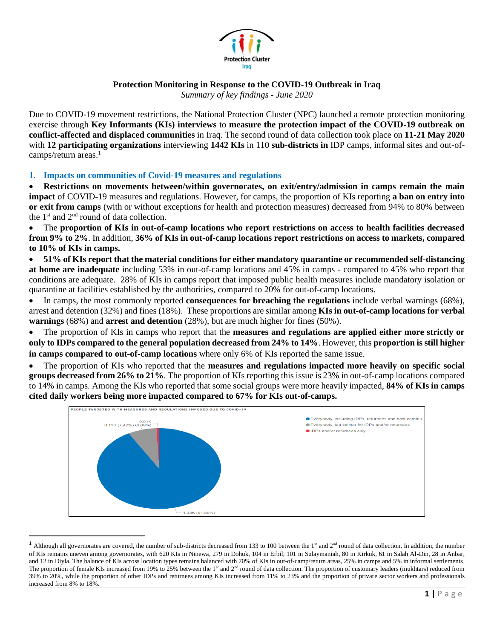

## **Protection Monitoring in Response to the COVID-19 Outbreak in Iraq**

*Summary of key findings - June 2020*

Due to COVID-19 movement restrictions, the National Protection Cluster (NPC) launched a remote protection monitoring exercise through **Key Informants (KIs) interviews** to **measure the protection impact of the COVID-19 outbreak on conflict-affected and displaced communities** in Iraq. The second round of data collection took place on **11-21 May 2020** with **12 participating organizations** interviewing **1442 KIs** in 110 **sub-districts in** IDP camps, informal sites and out-ofcamps/return areas.<sup>1</sup>

## **1. Impacts on communities of Covid-19 measures and regulations**

• **Restrictions on movements between/within governorates, on exit/entry/admission in camps remain the main impact** of COVID-19 measures and regulations. However, for camps, the proportion of KIs reporting **a ban on entry into or exit from camps** (with or without exceptions for health and protection measures) decreased from 94% to 80% between the  $1<sup>st</sup>$  and  $2<sup>nd</sup>$  round of data collection.

• The **proportion of KIs in out-of-camp locations who report restrictions on access to health facilities decreased from 9% to 2%**. In addition, **36% of KIs in out-of-camp locations report restrictions on access to markets, compared to 10% of KIs in camps.** 

• **51% of KIs report that the material conditions for either mandatory quarantine or recommended self-distancing at home are inadequate** including 53% in out-of-camp locations and 45% in camps - compared to 45% who report that conditions are adequate. 28% of KIs in camps report that imposed public health measures include mandatory isolation or quarantine at facilities established by the authorities, compared to 20% for out-of-camp locations.

• In camps, the most commonly reported **consequences for breaching the regulations** include verbal warnings (68%), arrest and detention (32%) and fines (18%). These proportions are similar among **KIs in out-of-camp locations for verbal warnings** (68%) and **arrest and detention** (28%), but are much higher for fines (50%).

• The proportion of KIs in camps who report that the **measures and regulations are applied either more strictly or only to IDPs compared to the general population decreased from 24% to 14%**. However, this **proportion is still higher in camps compared to out-of-camp locations** where only 6% of KIs reported the same issue.

• The proportion of KIs who reported that the **measures and regulations impacted more heavily on specific social groups decreased from 26% to 21%**. The proportion of KIs reporting this issue is 23% in out-of-camp locations compared to 14% in camps. Among the KIs who reported that some social groups were more heavily impacted, **84% of KIs in camps cited daily workers being more impacted compared to 67% for KIs out-of-camps.**



<sup>&</sup>lt;sup>1</sup> Although all governorates are covered, the number of sub-districts decreased from 133 to 100 between the 1<sup>st</sup> and  $2<sup>nd</sup>$  round of data collection. In addition, the number of KIs remains uneven among governorates, with 620 KIs in Ninewa, 279 in Dohuk, 104 in Erbil, 101 in Sulaymaniah, 80 in Kirkuk, 61 in Salah Al-Din, 28 in Anbar, and 12 in Diyla. The balance of KIs across location types remains balanced with 70% of KIs in out-of-camp/return areas, 25% in camps and 5% in informal settlements. The proportion of female KIs increased from 19% to  $25\%$  between the 1<sup>st</sup> and 2<sup>nd</sup> round of data collection. The proportion of customary leaders (mukhtars) reduced from 39% to 20%, while the proportion of other IDPs and returnees among KIs increased from 11% to 23% and the proportion of private sector workers and professionals increased from 8% to 18%.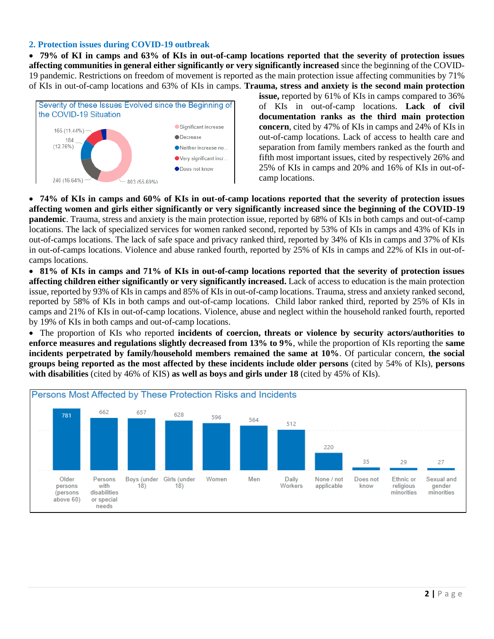## **2. Protection issues during COVID-19 outbreak**

• **79% of KI in camps and 63% of KIs in out-of-camp locations reported that the severity of protection issues affecting communities in general either significantly or very significantly increased** since the beginning of the COVID-19 pandemic. Restrictions on freedom of movement is reported as the main protection issue affecting communities by 71% of KIs in out-of-camp locations and 63% of KIs in camps. **Trauma, stress and anxiety is the second main protection** 



**issue,** reported by 61% of KIs in camps compared to 36% of KIs in out-of-camp locations. **Lack of civil documentation ranks as the third main protection concern**, cited by 47% of KIs in camps and 24% of KIs in out-of-camp locations. Lack of access to health care and separation from family members ranked as the fourth and fifth most important issues, cited by respectively 26% and 25% of KIs in camps and 20% and 16% of KIs in out-ofcamp locations.

• **74% of KIs in camps and 60% of KIs in out-of-camp locations reported that the severity of protection issues affecting women and girls either significantly or very significantly increased since the beginning of the COVID-19 pandemic**. Trauma, stress and anxiety is the main protection issue, reported by 68% of KIs in both camps and out-of-camp locations. The lack of specialized services for women ranked second, reported by 53% of KIs in camps and 43% of KIs in out-of-camps locations. The lack of safe space and privacy ranked third, reported by 34% of KIs in camps and 37% of KIs in out-of-camps locations. Violence and abuse ranked fourth, reported by 25% of KIs in camps and 22% of KIs in out-ofcamps locations.

• **81% of KIs in camps and 71% of KIs in out-of-camp locations reported that the severity of protection issues affecting children either significantly or very significantly increased.** Lack of access to education is the main protection issue, reported by 93% of KIs in camps and 85% of KIs in out-of-camp locations. Trauma, stress and anxiety ranked second, reported by 58% of KIs in both camps and out-of-camp locations. Child labor ranked third, reported by 25% of KIs in camps and 21% of KIs in out-of-camp locations. Violence, abuse and neglect within the household ranked fourth, reported by 19% of KIs in both camps and out-of-camp locations.

• The proportion of KIs who reported **incidents of coercion, threats or violence by security actors/authorities to enforce measures and regulations slightly decreased from 13% to 9%**, while the proportion of KIs reporting the **same incidents perpetrated by family/household members remained the same at 10%**. Of particular concern, **the social groups being reported as the most affected by these incidents include older persons** (cited by 54% of KIs), **persons with disabilities** (cited by 46% of KIS) **as well as boys and girls under 18** (cited by 45% of KIs).